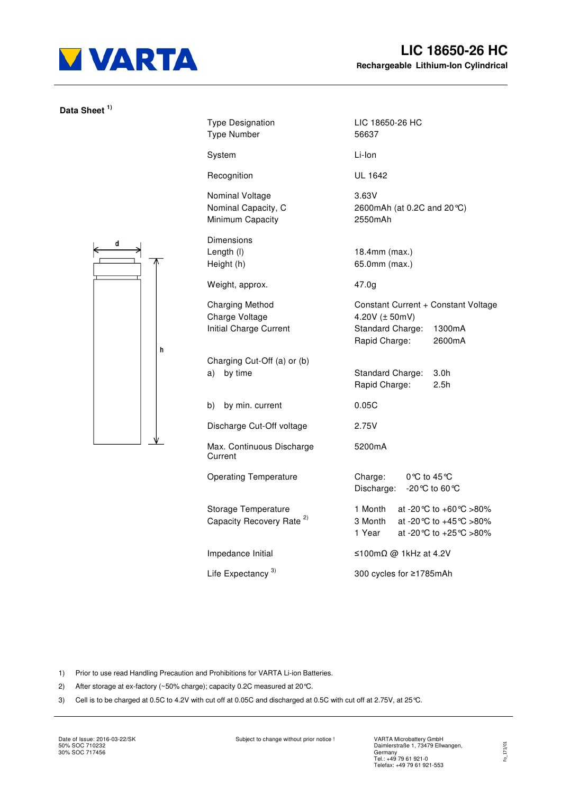

**Data Sheet 1)** 

| $\mathbf d$<br>k<br>÷<br>$\overline{\phantom{0}}$ |   |
|---------------------------------------------------|---|
|                                                   |   |
|                                                   | h |
|                                                   |   |
|                                                   |   |

| <b>Type Designation</b><br><b>Type Number</b>                      | LIC 18650-26 HC<br>56637                                                                                         |  |  |
|--------------------------------------------------------------------|------------------------------------------------------------------------------------------------------------------|--|--|
| System                                                             | Li-Ion                                                                                                           |  |  |
| Recognition                                                        | UL 1642                                                                                                          |  |  |
| Nominal Voltage<br>Nominal Capacity, C<br>Minimum Capacity         | 3.63V<br>2600mAh (at 0.2C and 20 °C)<br>2550mAh                                                                  |  |  |
| Dimensions<br>Length (I)<br>Height (h)                             | 18.4mm (max.)<br>65.0mm (max.)                                                                                   |  |  |
| Weight, approx.                                                    | 47.0g                                                                                                            |  |  |
| <b>Charging Method</b><br>Charge Voltage<br>Initial Charge Current | Constant Current + Constant Voltage<br>4.20V $(\pm 50$ mV)<br>Standard Charge: 1300mA<br>Rapid Charge:<br>2600mA |  |  |
| Charging Cut-Off (a) or (b)<br>a)<br>by time                       | Standard Charge:<br>3.0 <sub>h</sub><br>2.5h<br>Rapid Charge:                                                    |  |  |
| by min. current<br>b)                                              | 0.05C                                                                                                            |  |  |
| Discharge Cut-Off voltage                                          | 2.75V                                                                                                            |  |  |
| Max. Continuous Discharge<br>Current                               | 5200mA                                                                                                           |  |  |
| <b>Operating Temperature</b>                                       | Charge:<br>0℃ to 45 ℃<br>Discharge:<br>-20 °C to 60 °C                                                           |  |  |
| Storage Temperature<br>Capacity Recovery Rate <sup>2)</sup>        | 1 Month<br>at -20 °C to +60 °C >80%<br>3 Month<br>at -20 °C to +45 °C >80%<br>1 Year<br>at -20 °C to +25 °C >80% |  |  |
| Impedance Initial                                                  | ≤100mΩ @ 1kHz at 4.2V                                                                                            |  |  |
| Life Expectancy <sup>3)</sup>                                      | 300 cycles for ≥1785mAh                                                                                          |  |  |

1) Prior to use read Handling Precaution and Prohibitions for VARTA Li-ion Batteries.

- 2) After storage at ex-factory (~50% charge); capacity 0.2C measured at 20°C.
- 3) Cell is to be charged at 0.5C to 4.2V with cut off at 0.05C and discharged at 0.5C with cut off at 2.75V, at 25°C.